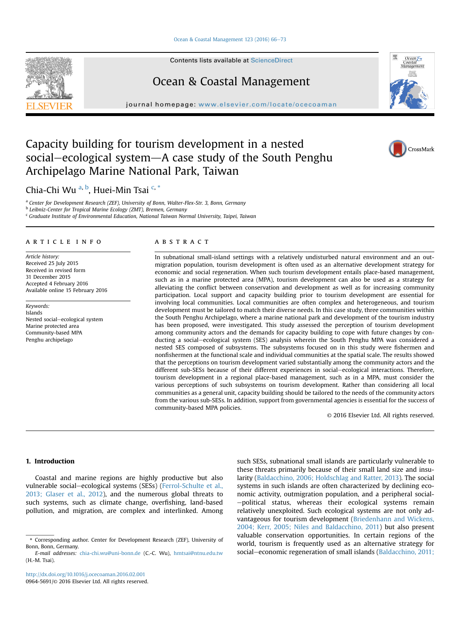#### [Ocean & Coastal Management 123 \(2016\) 66](http://dx.doi.org/10.1016/j.ocecoaman.2016.02.001)-[73](http://dx.doi.org/10.1016/j.ocecoaman.2016.02.001)

Contents lists available at ScienceDirect

## Ocean & Coastal Management

 $j<sub>i</sub>$  where  $i<sub>i</sub>$  home page: we want the complete  $o$ 

# Capacity building for tourism development in a nested social–ecological system–A case study of the South Penghu Archipelago Marine National Park, Taiwan

### Chia-Chi Wu <sup>a, b</sup>, Huei-Min Tsai <sup>c, \*</sup>

<sup>a</sup> Center for Development Research (ZEF), University of Bonn, Walter-Flex-Str. 3, Bonn, Germany

<sup>b</sup> Leibniz-Center for Tropical Marine Ecology (ZMT), Bremen, Germany

<sup>c</sup> Graduate Institute of Environmental Education, National Taiwan Normal University, Taipei, Taiwan

#### article info

Article history: Received 25 July 2015 Received in revised form 31 December 2015 Accepted 4 February 2016 Available online 15 February 2016

Keywords: Islands Nested social-ecological system Marine protected area Community-based MPA Penghu archipelago

#### **ABSTRACT**

In subnational small-island settings with a relatively undisturbed natural environment and an outmigration population, tourism development is often used as an alternative development strategy for economic and social regeneration. When such tourism development entails place-based management, such as in a marine protected area (MPA), tourism development can also be used as a strategy for alleviating the conflict between conservation and development as well as for increasing community participation. Local support and capacity building prior to tourism development are essential for involving local communities. Local communities are often complex and heterogeneous, and tourism development must be tailored to match their diverse needs. In this case study, three communities within the South Penghu Archipelago, where a marine national park and development of the tourism industry has been proposed, were investigated. This study assessed the perception of tourism development among community actors and the demands for capacity building to cope with future changes by conducting a social–ecological system (SES) analysis wherein the South Penghu MPA was considered a nested SES composed of subsystems. The subsystems focused on in this study were fishermen and nonfishermen at the functional scale and individual communities at the spatial scale. The results showed that the perceptions on tourism development varied substantially among the community actors and the different sub-SESs because of their different experiences in social-ecological interactions. Therefore, tourism development in a regional place-based management, such as in a MPA, must consider the various perceptions of such subsystems on tourism development. Rather than considering all local communities as a general unit, capacity building should be tailored to the needs of the community actors from the various sub-SESs. In addition, support from governmental agencies is essential for the success of community-based MPA policies.

© 2016 Elsevier Ltd. All rights reserved.

#### 1. Introduction

Coastal and marine regions are highly productive but also vulnerable social-ecological systems (SESs) (Ferrol-Schulte et al., 2013; Glaser et al., 2012), and the numerous global threats to such systems, such as climate change, overfishing, land-based pollution, and migration, are complex and interlinked. Among such SESs, subnational small islands are particularly vulnerable to these threats primarily because of their small land size and insularity (Baldacchino, 2006; Holdschlag and Ratter, 2013). The social systems in such islands are often characterized by declining economic activity, outmigration population, and a peripheral social--political status, whereas their ecological systems remain relatively unexploited. Such ecological systems are not only advantageous for tourism development (Briedenhann and Wickens, 2004; Kerr, 2005; Niles and Baldacchino, 2011) but also present valuable conservation opportunities. In certain regions of the world, tourism is frequently used as an alternative strategy for social-economic regeneration of small islands (Baldacchino, 2011;







<sup>\*</sup> Corresponding author. Center for Development Research (ZEF), University of Bonn, Bonn, Germany.

E-mail addresses: [chia-chi.wu@uni-bonn.de](mailto:chia-chi.wu@uni-bonn.de) (C.-C. Wu), [hmtsai@ntnu.edu.tw](mailto:hmtsai@ntnu.edu.tw) (H.-M. Tsai).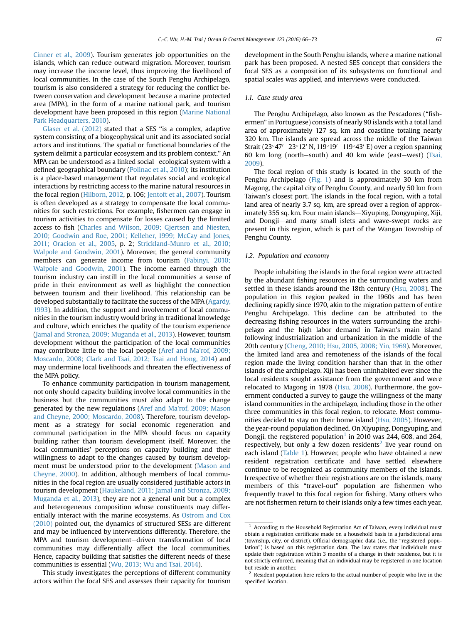Cinner et al., 2009). Tourism generates job opportunities on the islands, which can reduce outward migration. Moreover, tourism may increase the income level, thus improving the livelihood of local communities. In the case of the South Penghu Archipelago, tourism is also considered a strategy for reducing the conflict between conservation and development because a marine protected area (MPA), in the form of a marine national park, and tourism development have been proposed in this region (Marine National Park Headquarters, 2010).

Glaser et al. (2012) stated that a SES ''is a complex, adaptive system consisting of a biogeophysical unit and its associated social actors and institutions. The spatial or functional boundaries of the system delimit a particular ecosystem and its problem context.'' An MPA can be understood as a linked social–ecological system with a defined geographical boundary (Pollnac et al., 2010); its institution is a place-based management that regulates social and ecological interactions by restricting access to the marine natural resources in the focal region (Hilborn, 2012, p. 106; Jentoft et al., 2007). Tourism is often developed as a strategy to compensate the local communities for such restrictions. For example, fishermen can engage in tourism activities to compensate for losses caused by the limited access to fish (Charles and Wilson, 2009; Gjertsen and Niesten, 2010; Goodwin and Roe, 2001; Kelleher, 1999; McCay and Jones, 2011; Oracion et al., 2005, p. 2; Strickland-Munro et al., 2010; Walpole and Goodwin, 2001). Moreover, the general community members can generate income from tourism (Fabinyi, 2010; Walpole and Goodwin, 2001). The income earned through the tourism industry can instill in the local communities a sense of pride in their environment as well as highlight the connection between tourism and their livelihood. This relationship can be developed substantially to facilitate the success of the MPA (Agardy, 1993). In addition, the support and involvement of local communities in the tourism industry would bring in traditional knowledge and culture, which enriches the quality of the tourism experience (Jamal and Stronza, 2009; Muganda et al., 2013). However, tourism development without the participation of the local communities may contribute little to the local people (Aref and Ma'rof, 2009; Moscardo, 2008; Clark and Tsai, 2012; Tsai and Hong, 2014) and may undermine local livelihoods and threaten the effectiveness of the MPA policy.

To enhance community participation in tourism management, not only should capacity building involve local communities in the business but the communities must also adapt to the change generated by the new regulations (Aref and Ma'rof, 2009; Mason and Cheyne, 2000; Moscardo, 2008). Therefore, tourism development as a strategy for social-economic regeneration and communal participation in the MPA should focus on capacity building rather than tourism development itself. Moreover, the local communities' perceptions on capacity building and their willingness to adapt to the changes caused by tourism development must be understood prior to the development (Mason and Cheyne, 2000). In addition, although members of local communities in the focal region are usually considered justifiable actors in tourism development (Haukeland, 2011; Jamal and Stronza, 2009; Muganda et al., 2013), they are not a general unit but a complex and heterogeneous composition whose constituents may differentially interact with the marine ecosystems. As Ostrom and Cox (2010) pointed out, the dynamics of structured SESs are different and may be influenced by interventions differently. Therefore, the MPA and tourism development-driven transformation of local communities may differentially affect the local communities. Hence, capacity building that satisfies the different needs of these communities is essential (Wu, 2013; Wu and Tsai, 2014).

This study investigates the perceptions of different community actors within the focal SES and assesses their capacity for tourism development in the South Penghu islands, where a marine national park has been proposed. A nested SES concept that considers the focal SES as a composition of its subsystems on functional and spatial scales was applied, and interviews were conducted.

#### 1.1. Case study area

The Penghu Archipelago, also known as the Pescadores ("fishermen" in Portuguese) consists of nearly 90 islands with a total land area of approximately 127 sq. km and coastline totaling nearly 320 km. The islands are spread across the middle of the Taiwan Strait (23°47'-23°12' N, 119°19'-119°43' E) over a region spanning 60 km long (north-south) and 40 km wide (east-west) (Tsai, 2009).

The focal region of this study is located in the south of the Penghu Archipelago (Fig. 1) and is approximately 30 km from Magong, the capital city of Penghu County, and nearly 50 km from Taiwan's closest port. The islands in the focal region, with a total land area of nearly 3.7 sq. km, are spread over a region of approximately 355 sq. km. Four main islands-Xiyuping, Dongyuping, Xiji, and Dongji-and many small islets and wave-swept rocks are present in this region, which is part of the Wangan Township of Penghu County.

#### 1.2. Population and economy

People inhabiting the islands in the focal region were attracted by the abundant fishing resources in the surrounding waters and settled in these islands around the 18th century (Hsu, 2008). The population in this region peaked in the 1960s and has been declining rapidly since 1970, akin to the migration pattern of entire Penghu Archipelago. This decline can be attributed to the decreasing fishing resources in the waters surrounding the archipelago and the high labor demand in Taiwan's main island following industrialization and urbanization in the middle of the 20th century (Cheng, 2010; Hsu, 2005, 2008; Yin, 1969). Moreover, the limited land area and remoteness of the islands of the focal region made the living condition harsher than that in the other islands of the archipelago. Xiji has been uninhabited ever since the local residents sought assistance from the government and were relocated to Magong in 1978 (Hsu, 2008). Furthermore, the government conducted a survey to gauge the willingness of the many island communities in the archipelago, including those in the other three communities in this focal region, to relocate. Most communities decided to stay on their home island (Hsu, 2005). However, the year-round population declined. On Xiyuping, Dongyuping, and Dongji, the registered population<sup>1</sup> in 2010 was 244, 608, and 264, respectively, but only a few dozen residents<sup>2</sup> live year round on each island (Table 1). However, people who have obtained a new resident registration certificate and have settled elsewhere continue to be recognized as community members of the islands. Irrespective of whether their registrations are on the islands, many members of this "travel-out" population are fishermen who frequently travel to this focal region for fishing. Many others who are not fishermen return to their islands only a few times each year,

 $1$  According to the Household Registration Act of Taiwan, every individual must obtain a registration certificate made on a household basis in a jurisdictional area (township, city, or district). Official demographic data (i.e., the "registered population") is based on this registration data. The law states that individuals must update their registration within 3 months of a change in their residence, but it is not strictly enforced, meaning that an individual may be registered in one location but reside in another.

 $2$  Resident population here refers to the actual number of people who live in the specified location.